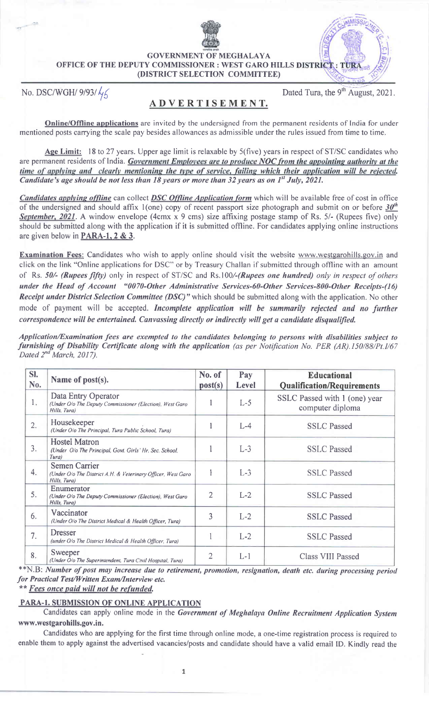GOVERNMENT OF MEGHALAYA OFFICE OF THE DEPUTY COMMISSIONER: WEST GARO HILLS DISTRICT  $\cdot$  TUR (DISTRICT SELECTION COMMITTEE)

No. DSC/WGH/  $9/93/\sqrt{6}$  Dated Tura, the 9<sup>th</sup> August, 2021.

# ADVERTISBMENT.

Online/Offline applications are invited by the undersigned from the permanent residents of India for under mentioned posts carrying the scale pay besides allowances as admissible under the rules issued from time to time.

Age Limit: 18 to 27 years. Upper age limit is relaxable by 5(five) years in respect of ST/SC candidates who are permanent residents of India. Government Employees are to produce NOC from the appointing authority at the<br>time of applying and clearly mentioning the type of service, failing which their application will be rejected. Candidate's age should be not less than 18 years or more than 32 years as on  $1<sup>st</sup>$  July, 2021.

Candidates applying offline can collect **DSC Offline Application form** which will be available free of cost in office of the undersigned and should affix 1(one) copy of recent passport size photograph and submit on or before  $30<sup>th</sup>$ September, 2021. A window envelope (4cmx x 9 cms) size affixing postage stamp of Rs. 5/- (Rupees five) only should be submitted along with the application if it is submitted offline. For candidates applying online instructions are given below in PARA-I.2 & 3.

Examination Fees: Candidates who wish to apply online should visit the website www.westgarohills.gov.in and click on the link "Online applications for DSC" or by Treasury Challan if submitted through offline with an amount of Rs. 50/- (Rupees fifty) only in respect of ST/SC and Rs.100/-(Rupees one hundred) only in respect of others under the Head of Account "0070-Other Administrative Services-60-Other Services-800-Other Receipts-(16) Receipt under District Selection Committee (DSC)" which should be submitted along with the application. No other mode of payment will be accepted. Incomplete application will be summarily rejected and no further correspondence will be entertained. Canvassing directly or indirectly will get a candidate disqualified.

Application/Examination fees are exempted to the candidates belonging to persons with disabilities subject to furnishing of Disability Certificate along with the application (as per Notification No. PER (AR).150/88/Pt.1/67 Dated 2<sup>nd</sup> March, 2017).

| SI.<br>No. | Name of post(s).                                                                                     | No. of<br>post(s) | Pay<br><b>Level</b> | <b>Educational</b><br><b>Qualification/Requirements</b> |
|------------|------------------------------------------------------------------------------------------------------|-------------------|---------------------|---------------------------------------------------------|
| 1.         | Data Entry Operator<br>(Under O/o The Deputy Commissioner (Election), West Garo<br>Hills, Tura)      |                   | $L-5$               | SSLC Passed with 1 (one) year<br>computer diploma       |
| 2.         | Housekeeper<br>(Under O/o The Principal, Tura Public School, Tura)                                   |                   | $L-4$               | <b>SSLC Passed</b>                                      |
| 3.         | <b>Hostel Matron</b><br>(Under O/o The Principal, Govt. Girls' Hr. Sec. School,<br>Tura)             |                   | $L-3$               | <b>SSLC</b> Passed                                      |
| 4.         | <b>Semen Carrier</b><br>(Under O/o The District A.H. & Veterinary Officer, West Garo<br>Hills, Tura) |                   | $L-3$               | <b>SSLC</b> Passed                                      |
| 5.         | Enumerator<br>(Under O/o The Deputy Commissioner (Election), West Garo<br>Hills, Tura)               | $\overline{2}$    | $L-2$               | <b>SSLC</b> Passed                                      |
| 6.         | Vaccinator<br>(Under O/o The District Medical & Health Officer, Tura)                                | 3                 | $L-2$               | <b>SSLC</b> Passed                                      |
| 7.         | <b>Dresser</b><br>(under O/o The District Medical & Health Officer, Tura)                            |                   | $L-2$               | <b>SSLC</b> Passed                                      |
| 8.         | Sweeper<br>(Under O/o The Superintendent, Tura Civil Hospital, Tura)                                 | $\overline{2}$    | $L-1$               | Class VIII Passed                                       |

\*\*N.B: Number of post may increase due to retirement, promotion, resignation, death etc. during processing period for Practical Test/Written Exam/Interview etc.

\*\* Fees once paid will not be refunded.

## PARA.I. SUBMISSION OF ONLINE APPLICATION

Candidates can apply online mode in the Government of Meghalaya Online Recruitment Application System www.westgarohills.gov.in.

Candidates who are applying for the first time through online mode, a one-time registration process is required to enable them to apply against the advertised vacancies/posts and candidate should have a valid email ID. Kindly read the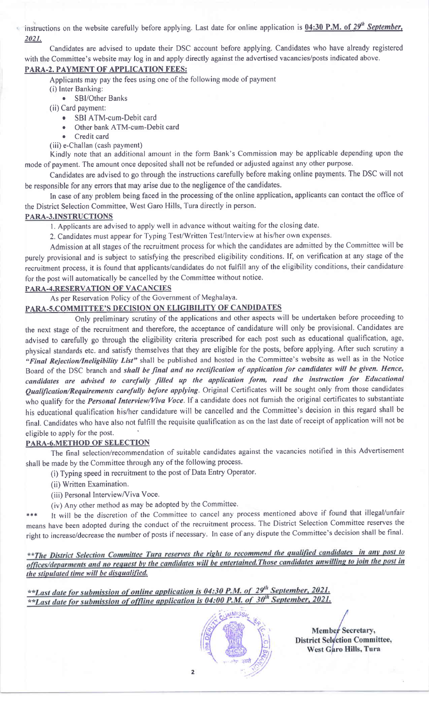instructions on the website carefully before applying. Last date for online application is  $0.4:30$  P.M. of  $29<sup>th</sup>$  September, 2021.

Candidates are advised to update their DSC account before applying. Candidates who have already registered with the Committee's website may log in and apply directly against the advertised vacancies/posts indicated above.

# PARA-2. PAYMENT OF APPLICATION FEES:

Applicants may pay the fees using one of the following mode of payment

- (i) lnter Banking:
	- . SBl/Other Banks
- (ii) Card payment:
	- SBI ATM-cum-Debit card
	- Other bank ATM-cum-Debit card
	- Credit card
- (iii) e-Challan (cash payment)

Kindly note that an additional amount in the form Bank's Commission may be applicable depending upon the mode of payment. The amount once deposited shall not be refunded or adjusted against any other purpose.

Candidates are advised to go through the instructions carefully before making online payments. The DSC will not be responsible for any errors that may arise due to the negligence of the candidates.

In case of any problem being faced in the processing of the online application, applicants can contact the office of the District Selection Committee, West Garo Hills, Tura directly in person.

### PARA-3.INSTRUCTIONS

l. Applicants are advised to apply well in advance without waiting for the closing date.

2. Candidates must appear for Typing Test/Written Test/Interview at his/her own expenses.

Admission at all stages of the recruitment process for which the candidates are admitted by the Committee will be purely provisional and is subject to satisfying the prescribed eligibility conditions. If, on verification at any stage of the recruitment process, it is found that applicants/candidates do not fulfill any of the eligibility conditions, their candidature for the post will automatically be cancelled by the Committee without notice.

#### PARA.4.RESERVATION OF VACANCIES

### As per Reservation Policy of the Government of Meghalaya.

# PARA-5.COMMITTEE'S DECISION ON ELIGIBILITY OF CANDIDATES

Only preliminary scrutiny of the applications and other aspects will be undertaken before proceeding to the next stage of the recruitment and therefore, the acceptance of candidature will only be provisional. Candidates are advised to carefully go through the eligibility criteria prescribed for each post such as educational qualification, age, physical standards etc. and satisfy themselves that they are eligible for the posts, before applying. After such scrutiny a "Final Rejection/Ineligibility List" shall be published and hosted in the Committee's website as well as in the Notice Board of the DSC branch and shall be final and no rectification of application for candidates will be given. Hence, candidates are advised to carefully filled up the application form, read the instruction for Educational Qualification/Requirements carefully before applying. Original Certificates will be sought only from those candidates who qualify for the *Personal Interview/Viva Voce*. If a candidate does not furnish the original certificates to substantiate his educational qualification his/her candidature will be cancelled and the Committee's decision in this regard shall be final. Candidates who have also not fulfill the requisite qualification as on the last date of receipt of application will not be eligible to apply for the post.

### PARA-6.METHOD OF SELECTION

The final selection/recommendation of suitable candidates against the vacancies notified in this Advertisement shall be made by the Committee through any of the following process.

(i) Typing speed in recruitment to the post of Data Entry Operator.

- (ii) Written Examination.
- (iii) Personal Interview/Viva Voce.
- (iv) Any other method as may be adopted by the Committee.

\*\*\* It will be the discretion of the Committee to cancel any process mentioned above if found that illegal/unfair means have been adopted during the conduct of the recruitment process. The District Selection Committee reserves the right to increase/decrease the number of posts if necessary. In case of any dispute the Committee's decision shall be final.

\*\*The District Selection Committee Tura reserves the right to recommend the qualified candidates in any post to offices/deparments and no request by the candidates will be entertained. Those candidates unwilling to join the post in<br>the stipulated time will be disqualified.

\*\*Last date for submission of online application is 04:30 P.M. of  $29^{th}$  September, 2021. \*\*Last date for submission of offline application is 04:00 P.M. of  $30<sup>th</sup>$ September, 2021.



Member Secretary, **District Selection Committee,** West Garo Hills, Tura